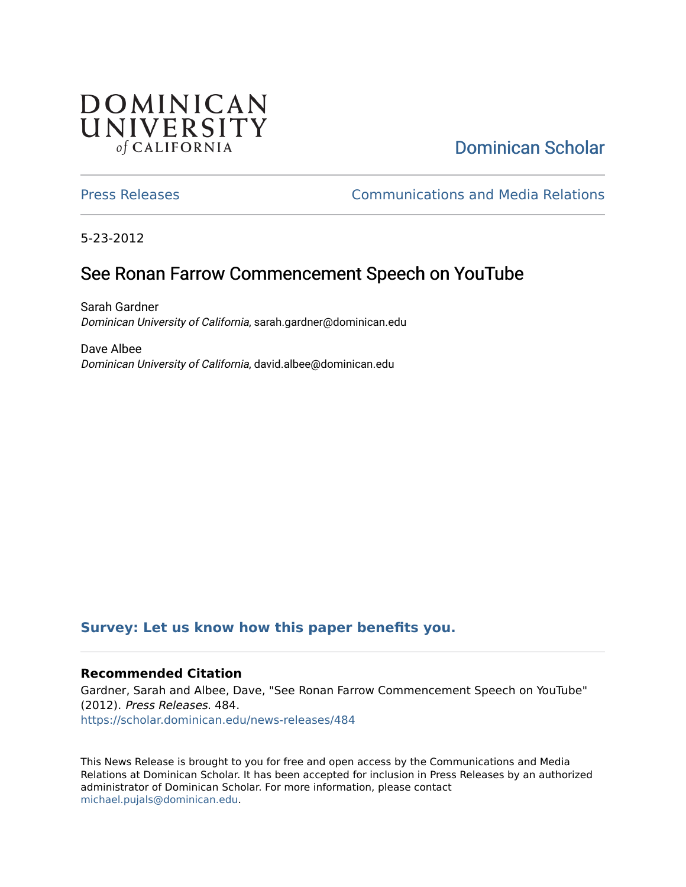## **DOMINICAN** UNIVERSITY of CALIFORNIA

# [Dominican Scholar](https://scholar.dominican.edu/)

[Press Releases](https://scholar.dominican.edu/news-releases) [Communications and Media Relations](https://scholar.dominican.edu/communications-media) 

5-23-2012

# See Ronan Farrow Commencement Speech on YouTube

Sarah Gardner Dominican University of California, sarah.gardner@dominican.edu

Dave Albee Dominican University of California, david.albee@dominican.edu

## **[Survey: Let us know how this paper benefits you.](https://dominican.libwizard.com/dominican-scholar-feedback)**

### **Recommended Citation**

Gardner, Sarah and Albee, Dave, "See Ronan Farrow Commencement Speech on YouTube" (2012). Press Releases. 484. [https://scholar.dominican.edu/news-releases/484](https://scholar.dominican.edu/news-releases/484?utm_source=scholar.dominican.edu%2Fnews-releases%2F484&utm_medium=PDF&utm_campaign=PDFCoverPages)

This News Release is brought to you for free and open access by the Communications and Media Relations at Dominican Scholar. It has been accepted for inclusion in Press Releases by an authorized administrator of Dominican Scholar. For more information, please contact [michael.pujals@dominican.edu.](mailto:michael.pujals@dominican.edu)